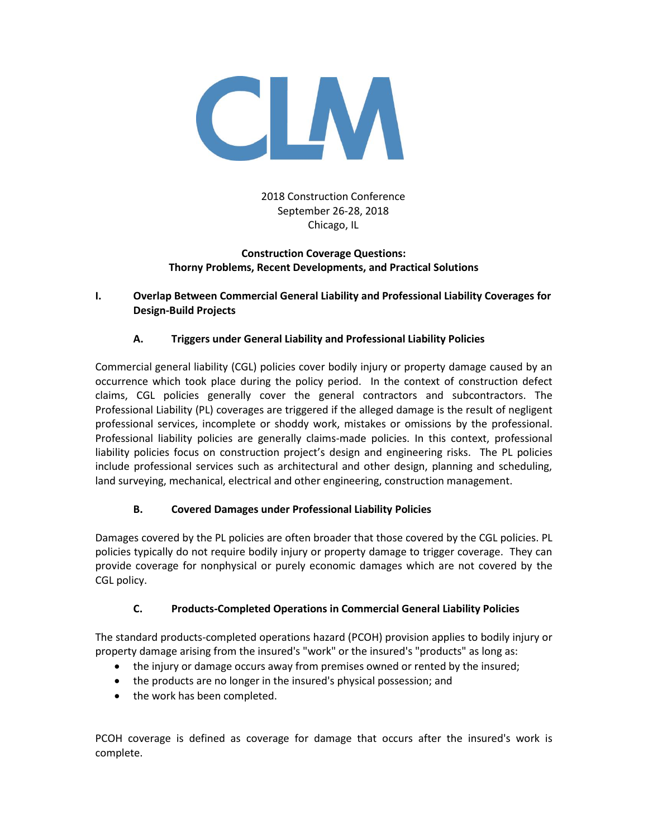

2018 Construction Conference September 26-28, 2018 Chicago, IL

## **Construction Coverage Questions: Thorny Problems, Recent Developments, and Practical Solutions**

## **I. Overlap Between Commercial General Liability and Professional Liability Coverages for Design-Build Projects**

# **A. Triggers under General Liability and Professional Liability Policies**

Commercial general liability (CGL) policies cover bodily injury or property damage caused by an occurrence which took place during the policy period. In the context of construction defect claims, CGL policies generally cover the general contractors and subcontractors. The Professional Liability (PL) coverages are triggered if the alleged damage is the result of negligent professional services, incomplete or shoddy work, mistakes or omissions by the professional. Professional liability policies are generally claims-made policies. In this context, professional liability policies focus on construction project's design and engineering risks. The PL policies include professional services such as architectural and other design, planning and scheduling, land surveying, mechanical, electrical and other engineering, construction management.

## **B. Covered Damages under Professional Liability Policies**

Damages covered by the PL policies are often broader that those covered by the CGL policies. PL policies typically do not require bodily injury or property damage to trigger coverage. They can provide coverage for nonphysical or purely economic damages which are not covered by the CGL policy.

# **C. Products-Completed Operations in Commercial General Liability Policies**

The standard products-completed operations hazard (PCOH) provision applies to bodily injury or property damage arising from the insured's "work" or the insured's "products" as long as:

- the injury or damage occurs away from premises owned or rented by the insured;
- the products are no longer in the insured's physical possession; and
- the work has been completed.

PCOH coverage is defined as coverage for damage that occurs after the insured's work is complete.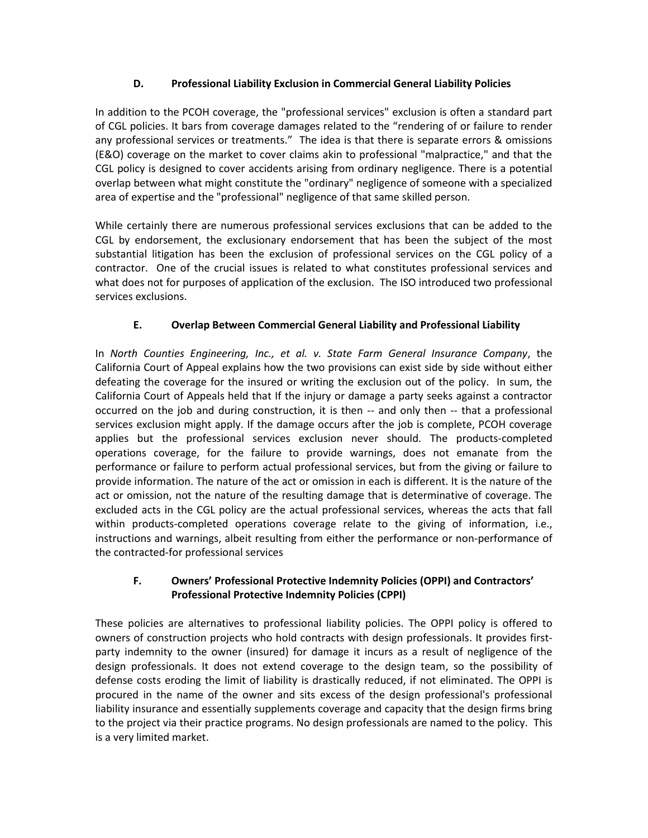## **D. Professional Liability Exclusion in Commercial General Liability Policies**

In addition to the PCOH coverage, the "professional services" exclusion is often a standard part of CGL policies. It bars from coverage damages related to the "rendering of or failure to render any professional services or treatments." The idea is that there is separate errors & omissions (E&O) coverage on the market to cover claims akin to professional "malpractice," and that the CGL policy is designed to cover accidents arising from ordinary negligence. There is a potential overlap between what might constitute the "ordinary" negligence of someone with a specialized area of expertise and the "professional" negligence of that same skilled person.

While certainly there are numerous professional services exclusions that can be added to the CGL by endorsement, the exclusionary endorsement that has been the subject of the most substantial litigation has been the exclusion of professional services on the CGL policy of a contractor. One of the crucial issues is related to what constitutes professional services and what does not for purposes of application of the exclusion. The ISO introduced two professional services exclusions.

# **E. Overlap Between Commercial General Liability and Professional Liability**

In *North Counties Engineering, Inc., et al. v. State Farm General Insurance Company*, the California Court of Appeal explains how the two provisions can exist side by side without either defeating the coverage for the insured or writing the exclusion out of the policy. In sum, the California Court of Appeals held that If the injury or damage a party seeks against a contractor occurred on the job and during construction, it is then -- and only then -- that a professional services exclusion might apply. If the damage occurs after the job is complete, PCOH coverage applies but the professional services exclusion never should. The products-completed operations coverage, for the failure to provide warnings, does not emanate from the performance or failure to perform actual professional services, but from the giving or failure to provide information. The nature of the act or omission in each is different. It is the nature of the act or omission, not the nature of the resulting damage that is determinative of coverage. The excluded acts in the CGL policy are the actual professional services, whereas the acts that fall within products-completed operations coverage relate to the giving of information, i.e., instructions and warnings, albeit resulting from either the performance or non-performance of the contracted-for professional services

## **F. Owners' Professional Protective Indemnity Policies (OPPI) and Contractors' Professional Protective Indemnity Policies (CPPI)**

These policies are alternatives to professional liability policies. The OPPI policy is offered to owners of construction projects who hold contracts with design professionals. It provides firstparty indemnity to the owner (insured) for damage it incurs as a result of negligence of the design professionals. It does not extend coverage to the design team, so the possibility of defense costs eroding the limit of liability is drastically reduced, if not eliminated. The OPPI is procured in the name of the owner and sits excess of the design professional's professional liability insurance and essentially supplements coverage and capacity that the design firms bring to the project via their practice programs. No design professionals are named to the policy. This is a very limited market.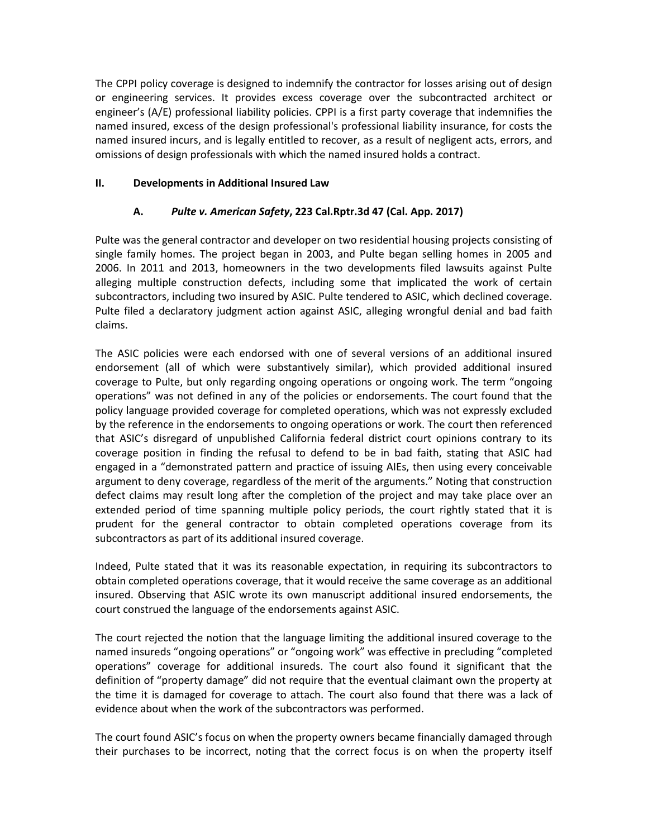The CPPI policy coverage is designed to indemnify the contractor for losses arising out of design or engineering services. It provides excess coverage over the subcontracted architect or engineer's (A/E) professional liability policies. CPPI is a first party coverage that indemnifies the named insured, excess of the design professional's professional liability insurance, for costs the named insured incurs, and is legally entitled to recover, as a result of negligent acts, errors, and omissions of design professionals with which the named insured holds a contract.

#### **II. Developments in Additional Insured Law**

## **A.** *Pulte v. American Safety***, 223 Cal.Rptr.3d 47 (Cal. App. 2017)**

Pulte was the general contractor and developer on two residential housing projects consisting of single family homes. The project began in 2003, and Pulte began selling homes in 2005 and 2006. In 2011 and 2013, homeowners in the two developments filed lawsuits against Pulte alleging multiple construction defects, including some that implicated the work of certain subcontractors, including two insured by ASIC. Pulte tendered to ASIC, which declined coverage. Pulte filed a declaratory judgment action against ASIC, alleging wrongful denial and bad faith claims.

The ASIC policies were each endorsed with one of several versions of an additional insured endorsement (all of which were substantively similar), which provided additional insured coverage to Pulte, but only regarding ongoing operations or ongoing work. The term "ongoing operations" was not defined in any of the policies or endorsements. The court found that the policy language provided coverage for completed operations, which was not expressly excluded by the reference in the endorsements to ongoing operations or work. The court then referenced that ASIC's disregard of unpublished California federal district court opinions contrary to its coverage position in finding the refusal to defend to be in bad faith, stating that ASIC had engaged in a "demonstrated pattern and practice of issuing AIEs, then using every conceivable argument to deny coverage, regardless of the merit of the arguments." Noting that construction defect claims may result long after the completion of the project and may take place over an extended period of time spanning multiple policy periods, the court rightly stated that it is prudent for the general contractor to obtain completed operations coverage from its subcontractors as part of its additional insured coverage.

Indeed, Pulte stated that it was its reasonable expectation, in requiring its subcontractors to obtain completed operations coverage, that it would receive the same coverage as an additional insured. Observing that ASIC wrote its own manuscript additional insured endorsements, the court construed the language of the endorsements against ASIC.

The court rejected the notion that the language limiting the additional insured coverage to the named insureds "ongoing operations" or "ongoing work" was effective in precluding "completed operations" coverage for additional insureds. The court also found it significant that the definition of "property damage" did not require that the eventual claimant own the property at the time it is damaged for coverage to attach. The court also found that there was a lack of evidence about when the work of the subcontractors was performed.

The court found ASIC's focus on when the property owners became financially damaged through their purchases to be incorrect, noting that the correct focus is on when the property itself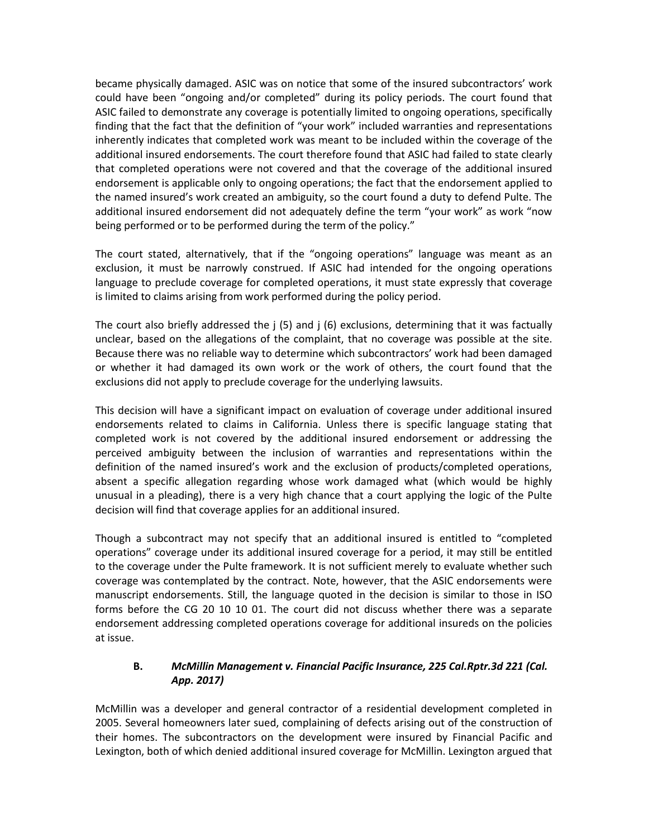became physically damaged. ASIC was on notice that some of the insured subcontractors' work could have been "ongoing and/or completed" during its policy periods. The court found that ASIC failed to demonstrate any coverage is potentially limited to ongoing operations, specifically finding that the fact that the definition of "your work" included warranties and representations inherently indicates that completed work was meant to be included within the coverage of the additional insured endorsements. The court therefore found that ASIC had failed to state clearly that completed operations were not covered and that the coverage of the additional insured endorsement is applicable only to ongoing operations; the fact that the endorsement applied to the named insured's work created an ambiguity, so the court found a duty to defend Pulte. The additional insured endorsement did not adequately define the term "your work" as work "now being performed or to be performed during the term of the policy."

The court stated, alternatively, that if the "ongoing operations" language was meant as an exclusion, it must be narrowly construed. If ASIC had intended for the ongoing operations language to preclude coverage for completed operations, it must state expressly that coverage is limited to claims arising from work performed during the policy period.

The court also briefly addressed the j (5) and j (6) exclusions, determining that it was factually unclear, based on the allegations of the complaint, that no coverage was possible at the site. Because there was no reliable way to determine which subcontractors' work had been damaged or whether it had damaged its own work or the work of others, the court found that the exclusions did not apply to preclude coverage for the underlying lawsuits.

This decision will have a significant impact on evaluation of coverage under additional insured endorsements related to claims in California. Unless there is specific language stating that completed work is not covered by the additional insured endorsement or addressing the perceived ambiguity between the inclusion of warranties and representations within the definition of the named insured's work and the exclusion of products/completed operations, absent a specific allegation regarding whose work damaged what (which would be highly unusual in a pleading), there is a very high chance that a court applying the logic of the Pulte decision will find that coverage applies for an additional insured.

Though a subcontract may not specify that an additional insured is entitled to "completed operations" coverage under its additional insured coverage for a period, it may still be entitled to the coverage under the Pulte framework. It is not sufficient merely to evaluate whether such coverage was contemplated by the contract. Note, however, that the ASIC endorsements were manuscript endorsements. Still, the language quoted in the decision is similar to those in ISO forms before the CG 20 10 10 01. The court did not discuss whether there was a separate endorsement addressing completed operations coverage for additional insureds on the policies at issue.

# **B.** *McMillin Management v. Financial Pacific Insurance, 225 Cal.Rptr.3d 221 (Cal. App. 2017)*

McMillin was a developer and general contractor of a residential development completed in 2005. Several homeowners later sued, complaining of defects arising out of the construction of their homes. The subcontractors on the development were insured by Financial Pacific and Lexington, both of which denied additional insured coverage for McMillin. Lexington argued that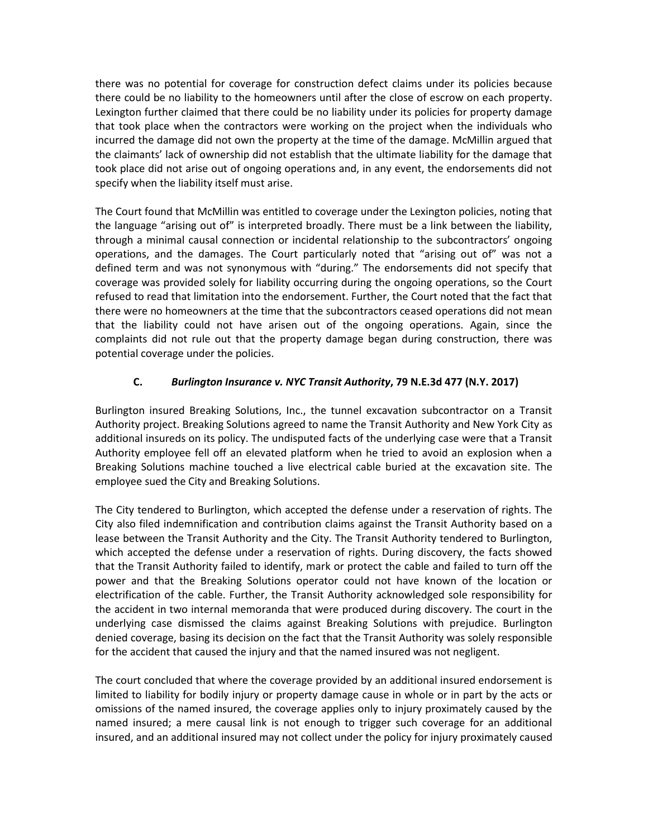there was no potential for coverage for construction defect claims under its policies because there could be no liability to the homeowners until after the close of escrow on each property. Lexington further claimed that there could be no liability under its policies for property damage that took place when the contractors were working on the project when the individuals who incurred the damage did not own the property at the time of the damage. McMillin argued that the claimants' lack of ownership did not establish that the ultimate liability for the damage that took place did not arise out of ongoing operations and, in any event, the endorsements did not specify when the liability itself must arise.

The Court found that McMillin was entitled to coverage under the Lexington policies, noting that the language "arising out of" is interpreted broadly. There must be a link between the liability, through a minimal causal connection or incidental relationship to the subcontractors' ongoing operations, and the damages. The Court particularly noted that "arising out of" was not a defined term and was not synonymous with "during." The endorsements did not specify that coverage was provided solely for liability occurring during the ongoing operations, so the Court refused to read that limitation into the endorsement. Further, the Court noted that the fact that there were no homeowners at the time that the subcontractors ceased operations did not mean that the liability could not have arisen out of the ongoing operations. Again, since the complaints did not rule out that the property damage began during construction, there was potential coverage under the policies.

## **C.** *Burlington Insurance v. NYC Transit Authority***, 79 N.E.3d 477 (N.Y. 2017)**

Burlington insured Breaking Solutions, Inc., the tunnel excavation subcontractor on a Transit Authority project. Breaking Solutions agreed to name the Transit Authority and New York City as additional insureds on its policy. The undisputed facts of the underlying case were that a Transit Authority employee fell off an elevated platform when he tried to avoid an explosion when a Breaking Solutions machine touched a live electrical cable buried at the excavation site. The employee sued the City and Breaking Solutions.

The City tendered to Burlington, which accepted the defense under a reservation of rights. The City also filed indemnification and contribution claims against the Transit Authority based on a lease between the Transit Authority and the City. The Transit Authority tendered to Burlington, which accepted the defense under a reservation of rights. During discovery, the facts showed that the Transit Authority failed to identify, mark or protect the cable and failed to turn off the power and that the Breaking Solutions operator could not have known of the location or electrification of the cable. Further, the Transit Authority acknowledged sole responsibility for the accident in two internal memoranda that were produced during discovery. The court in the underlying case dismissed the claims against Breaking Solutions with prejudice. Burlington denied coverage, basing its decision on the fact that the Transit Authority was solely responsible for the accident that caused the injury and that the named insured was not negligent.

The court concluded that where the coverage provided by an additional insured endorsement is limited to liability for bodily injury or property damage cause in whole or in part by the acts or omissions of the named insured, the coverage applies only to injury proximately caused by the named insured; a mere causal link is not enough to trigger such coverage for an additional insured, and an additional insured may not collect under the policy for injury proximately caused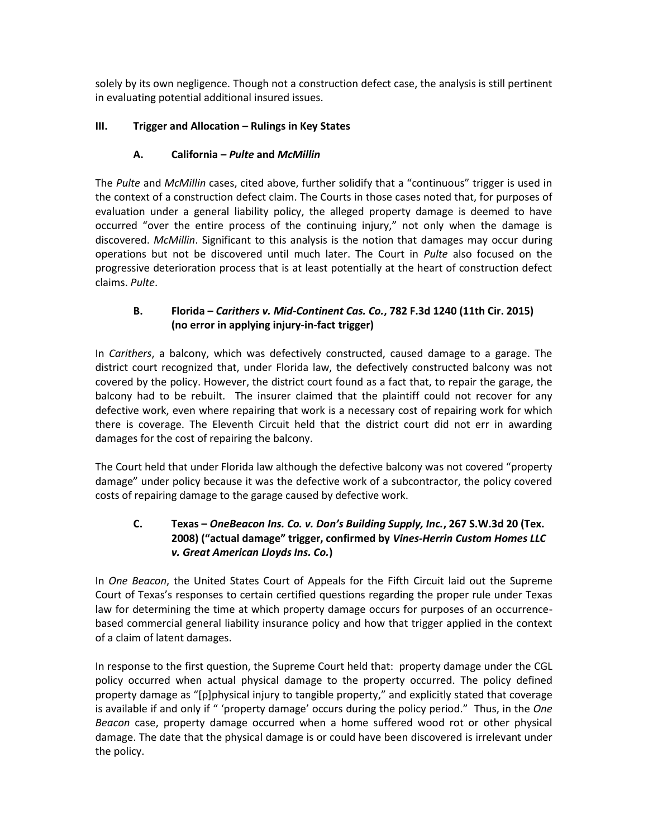solely by its own negligence. Though not a construction defect case, the analysis is still pertinent in evaluating potential additional insured issues.

# **III. Trigger and Allocation – Rulings in Key States**

# **A. California –** *Pulte* **and** *McMillin*

The *Pulte* and *McMillin* cases, cited above, further solidify that a "continuous" trigger is used in the context of a construction defect claim. The Courts in those cases noted that, for purposes of evaluation under a general liability policy, the alleged property damage is deemed to have occurred "over the entire process of the continuing injury," not only when the damage is discovered. *McMillin*. Significant to this analysis is the notion that damages may occur during operations but not be discovered until much later. The Court in *Pulte* also focused on the progressive deterioration process that is at least potentially at the heart of construction defect claims. *Pulte*.

## **B. Florida –** *Carithers v. Mid-Continent Cas. Co.***, 782 F.3d 1240 (11th Cir. 2015) (no error in applying injury-in-fact trigger)**

In *Carithers*, a balcony, which was defectively constructed, caused damage to a garage. The district court recognized that, under Florida law, the defectively constructed balcony was not covered by the policy. However, the district court found as a fact that, to repair the garage, the balcony had to be rebuilt. The insurer claimed that the plaintiff could not recover for any defective work, even where repairing that work is a necessary cost of repairing work for which there is coverage. The Eleventh Circuit held that the district court did not err in awarding damages for the cost of repairing the balcony.

The Court held that under Florida law although the defective balcony was not covered "property damage" under policy because it was the defective work of a subcontractor, the policy covered costs of repairing damage to the garage caused by defective work.

# **C. Texas –** *OneBeacon Ins. Co. v. Don's Building Supply, Inc.***, 267 S.W.3d 20 (Tex. 2008) ("actual damage" trigger, confirmed by** *Vines-Herrin Custom Homes LLC v. Great American Lloyds Ins. Co.***)**

In *One Beacon*, the United States Court of Appeals for the Fifth Circuit laid out the Supreme Court of Texas's responses to certain certified questions regarding the proper rule under Texas law for determining the time at which property damage occurs for purposes of an occurrencebased commercial general liability insurance policy and how that trigger applied in the context of a claim of latent damages.

In response to the first question, the Supreme Court held that: property damage under the CGL policy occurred when actual physical damage to the property occurred. The policy defined property damage as "[p]physical injury to tangible property," and explicitly stated that coverage is available if and only if " 'property damage' occurs during the policy period." Thus, in the *One Beacon* case, property damage occurred when a home suffered wood rot or other physical damage. The date that the physical damage is or could have been discovered is irrelevant under the policy.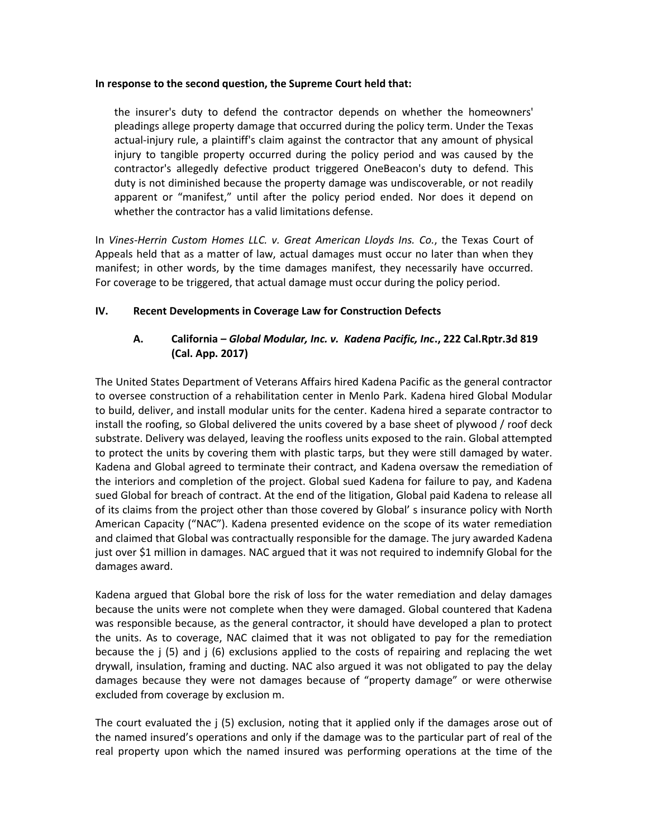#### **In response to the second question, the Supreme Court held that:**

the insurer's duty to defend the contractor depends on whether the homeowners' pleadings allege property damage that occurred during the policy term. Under the Texas actual-injury rule, a plaintiff's claim against the contractor that any amount of physical injury to tangible property occurred during the policy period and was caused by the contractor's allegedly defective product triggered OneBeacon's duty to defend. This duty is not diminished because the property damage was undiscoverable, or not readily apparent or "manifest," until after the policy period ended. Nor does it depend on whether the contractor has a valid limitations defense.

In *Vines-Herrin Custom Homes LLC. v. Great American Lloyds Ins. Co.*, the Texas Court of Appeals held that as a matter of law, actual damages must occur no later than when they manifest; in other words, by the time damages manifest, they necessarily have occurred. For coverage to be triggered, that actual damage must occur during the policy period.

#### **IV. Recent Developments in Coverage Law for Construction Defects**

## **A. California –** *Global Modular, Inc. v. Kadena Pacific, Inc***., 222 Cal.Rptr.3d 819 (Cal. App. 2017)**

The United States Department of Veterans Affairs hired Kadena Pacific as the general contractor to oversee construction of a rehabilitation center in Menlo Park. Kadena hired Global Modular to build, deliver, and install modular units for the center. Kadena hired a separate contractor to install the roofing, so Global delivered the units covered by a base sheet of plywood / roof deck substrate. Delivery was delayed, leaving the roofless units exposed to the rain. Global attempted to protect the units by covering them with plastic tarps, but they were still damaged by water. Kadena and Global agreed to terminate their contract, and Kadena oversaw the remediation of the interiors and completion of the project. Global sued Kadena for failure to pay, and Kadena sued Global for breach of contract. At the end of the litigation, Global paid Kadena to release all of its claims from the project other than those covered by Global' s insurance policy with North American Capacity ("NAC"). Kadena presented evidence on the scope of its water remediation and claimed that Global was contractually responsible for the damage. The jury awarded Kadena just over \$1 million in damages. NAC argued that it was not required to indemnify Global for the damages award.

Kadena argued that Global bore the risk of loss for the water remediation and delay damages because the units were not complete when they were damaged. Global countered that Kadena was responsible because, as the general contractor, it should have developed a plan to protect the units. As to coverage, NAC claimed that it was not obligated to pay for the remediation because the j (5) and j (6) exclusions applied to the costs of repairing and replacing the wet drywall, insulation, framing and ducting. NAC also argued it was not obligated to pay the delay damages because they were not damages because of "property damage" or were otherwise excluded from coverage by exclusion m.

The court evaluated the j (5) exclusion, noting that it applied only if the damages arose out of the named insured's operations and only if the damage was to the particular part of real of the real property upon which the named insured was performing operations at the time of the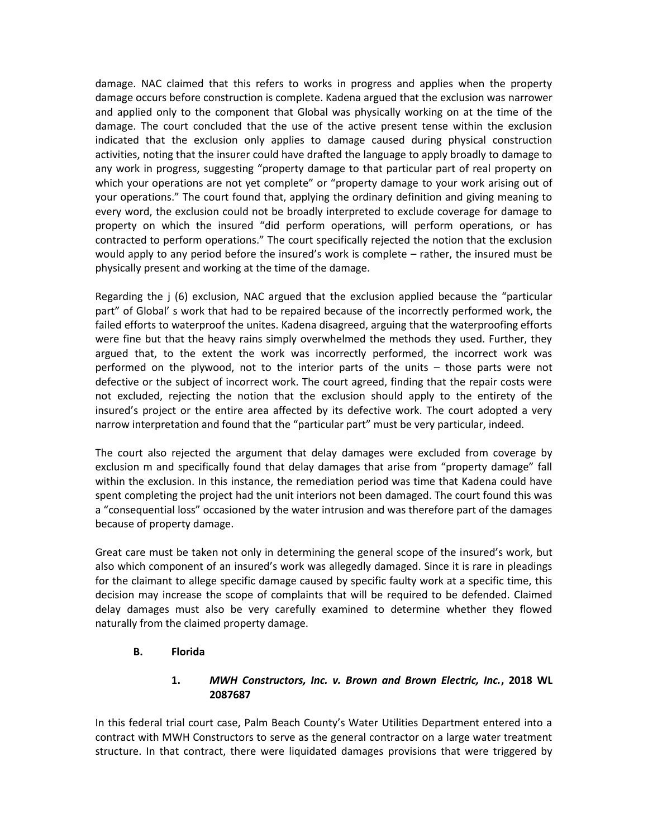damage. NAC claimed that this refers to works in progress and applies when the property damage occurs before construction is complete. Kadena argued that the exclusion was narrower and applied only to the component that Global was physically working on at the time of the damage. The court concluded that the use of the active present tense within the exclusion indicated that the exclusion only applies to damage caused during physical construction activities, noting that the insurer could have drafted the language to apply broadly to damage to any work in progress, suggesting "property damage to that particular part of real property on which your operations are not yet complete" or "property damage to your work arising out of your operations." The court found that, applying the ordinary definition and giving meaning to every word, the exclusion could not be broadly interpreted to exclude coverage for damage to property on which the insured "did perform operations, will perform operations, or has contracted to perform operations." The court specifically rejected the notion that the exclusion would apply to any period before the insured's work is complete – rather, the insured must be physically present and working at the time of the damage.

Regarding the j (6) exclusion, NAC argued that the exclusion applied because the "particular part" of Global' s work that had to be repaired because of the incorrectly performed work, the failed efforts to waterproof the unites. Kadena disagreed, arguing that the waterproofing efforts were fine but that the heavy rains simply overwhelmed the methods they used. Further, they argued that, to the extent the work was incorrectly performed, the incorrect work was performed on the plywood, not to the interior parts of the units – those parts were not defective or the subject of incorrect work. The court agreed, finding that the repair costs were not excluded, rejecting the notion that the exclusion should apply to the entirety of the insured's project or the entire area affected by its defective work. The court adopted a very narrow interpretation and found that the "particular part" must be very particular, indeed.

The court also rejected the argument that delay damages were excluded from coverage by exclusion m and specifically found that delay damages that arise from "property damage" fall within the exclusion. In this instance, the remediation period was time that Kadena could have spent completing the project had the unit interiors not been damaged. The court found this was a "consequential loss" occasioned by the water intrusion and was therefore part of the damages because of property damage.

Great care must be taken not only in determining the general scope of the insured's work, but also which component of an insured's work was allegedly damaged. Since it is rare in pleadings for the claimant to allege specific damage caused by specific faulty work at a specific time, this decision may increase the scope of complaints that will be required to be defended. Claimed delay damages must also be very carefully examined to determine whether they flowed naturally from the claimed property damage.

#### **B. Florida**

#### **1.** *MWH Constructors, Inc. v. Brown and Brown Electric, Inc.***, 2018 WL 2087687**

In this federal trial court case, Palm Beach County's Water Utilities Department entered into a contract with MWH Constructors to serve as the general contractor on a large water treatment structure. In that contract, there were liquidated damages provisions that were triggered by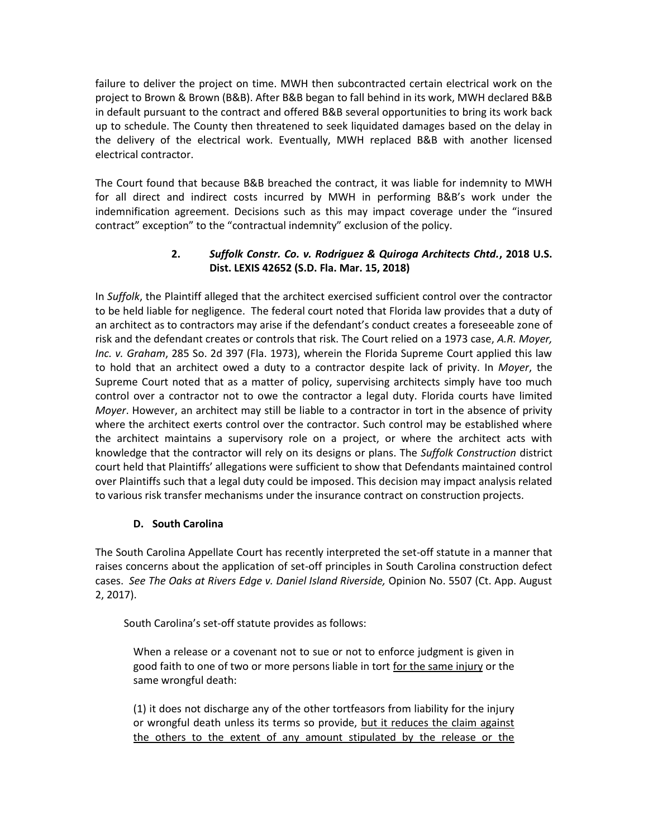failure to deliver the project on time. MWH then subcontracted certain electrical work on the project to Brown & Brown (B&B). After B&B began to fall behind in its work, MWH declared B&B in default pursuant to the contract and offered B&B several opportunities to bring its work back up to schedule. The County then threatened to seek liquidated damages based on the delay in the delivery of the electrical work. Eventually, MWH replaced B&B with another licensed electrical contractor.

The Court found that because B&B breached the contract, it was liable for indemnity to MWH for all direct and indirect costs incurred by MWH in performing B&B's work under the indemnification agreement. Decisions such as this may impact coverage under the "insured contract" exception" to the "contractual indemnity" exclusion of the policy.

## **2.** *Suffolk Constr. Co. v. Rodriguez & Quiroga Architects Chtd.***, 2018 U.S. Dist. LEXIS 42652 (S.D. Fla. Mar. 15, 2018)**

In *Suffolk*, the Plaintiff alleged that the architect exercised sufficient control over the contractor to be held liable for negligence. The federal court noted that Florida law provides that a duty of an architect as to contractors may arise if the defendant's conduct creates a foreseeable zone of risk and the defendant creates or controls that risk. The Court relied on a 1973 case, *A.R. Moyer, Inc. v. Graham*, 285 So. 2d 397 (Fla. 1973), wherein the Florida Supreme Court applied this law to hold that an architect owed a duty to a contractor despite lack of privity. In *Moyer*, the Supreme Court noted that as a matter of policy, supervising architects simply have too much control over a contractor not to owe the contractor a legal duty. Florida courts have limited *Moyer*. However, an architect may still be liable to a contractor in tort in the absence of privity where the architect exerts control over the contractor. Such control may be established where the architect maintains a supervisory role on a project, or where the architect acts with knowledge that the contractor will rely on its designs or plans. The *Suffolk Construction* district court held that Plaintiffs' allegations were sufficient to show that Defendants maintained control over Plaintiffs such that a legal duty could be imposed. This decision may impact analysis related to various risk transfer mechanisms under the insurance contract on construction projects.

## **D. South Carolina**

The South Carolina Appellate Court has recently interpreted the set-off statute in a manner that raises concerns about the application of set-off principles in South Carolina construction defect cases. *See The Oaks at Rivers Edge v. Daniel Island Riverside,* Opinion No. 5507 (Ct. App. August 2, 2017).

South Carolina's set-off statute provides as follows:

When a release or a covenant not to sue or not to enforce judgment is given in good faith to one of two or more persons liable in tort for the same injury or the same wrongful death:

(1) it does not discharge any of the other tortfeasors from liability for the injury or wrongful death unless its terms so provide, but it reduces the claim against the others to the extent of any amount stipulated by the release or the